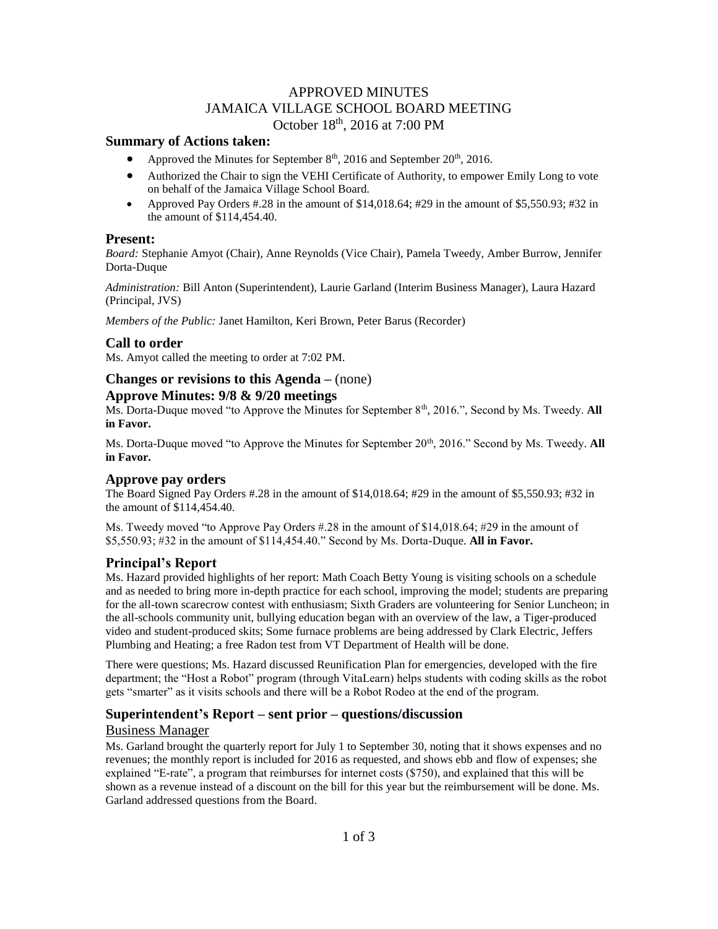# APPROVED MINUTES JAMAICA VILLAGE SCHOOL BOARD MEETING October 18th, 2016 at 7:00 PM

### **Summary of Actions taken:**

- Approved the Minutes for September  $8<sup>th</sup>$ , 2016 and September 20<sup>th</sup>, 2016.
- Authorized the Chair to sign the VEHI Certificate of Authority, to empower Emily Long to vote on behalf of the Jamaica Village School Board.
- Approved Pay Orders #.28 in the amount of  $$14,018.64$ ; #29 in the amount of  $$5,550.93$ ; #32 in the amount of \$114,454.40.

#### **Present:**

*Board:* Stephanie Amyot (Chair), Anne Reynolds (Vice Chair), Pamela Tweedy, Amber Burrow, Jennifer Dorta-Duque

*Administration:* Bill Anton (Superintendent), Laurie Garland (Interim Business Manager), Laura Hazard (Principal, JVS)

*Members of the Public:* Janet Hamilton, Keri Brown, Peter Barus (Recorder)

### **Call to order**

Ms. Amyot called the meeting to order at 7:02 PM.

#### **Changes or revisions to this Agenda –** (none)

#### **Approve Minutes: 9/8 & 9/20 meetings**

Ms. Dorta-Duque moved "to Approve the Minutes for September 8<sup>th</sup>, 2016.", Second by Ms. Tweedy. All **in Favor.**

Ms. Dorta-Duque moved "to Approve the Minutes for September 20<sup>th</sup>, 2016." Second by Ms. Tweedy. **All in Favor.**

### **Approve pay orders**

The Board Signed Pay Orders #.28 in the amount of \$14,018.64; #29 in the amount of \$5,550.93; #32 in the amount of \$114,454.40.

Ms. Tweedy moved "to Approve Pay Orders #.28 in the amount of \$14,018.64; #29 in the amount of \$5,550.93; #32 in the amount of \$114,454.40." Second by Ms. Dorta-Duque. **All in Favor.**

### **Principal's Report**

Ms. Hazard provided highlights of her report: Math Coach Betty Young is visiting schools on a schedule and as needed to bring more in-depth practice for each school, improving the model; students are preparing for the all-town scarecrow contest with enthusiasm; Sixth Graders are volunteering for Senior Luncheon; in the all-schools community unit, bullying education began with an overview of the law, a Tiger-produced video and student-produced skits; Some furnace problems are being addressed by Clark Electric, Jeffers Plumbing and Heating; a free Radon test from VT Department of Health will be done.

There were questions; Ms. Hazard discussed Reunification Plan for emergencies, developed with the fire department; the "Host a Robot" program (through VitaLearn) helps students with coding skills as the robot gets "smarter" as it visits schools and there will be a Robot Rodeo at the end of the program.

### **Superintendent's Report – sent prior – questions/discussion**

#### Business Manager

Ms. Garland brought the quarterly report for July 1 to September 30, noting that it shows expenses and no revenues; the monthly report is included for 2016 as requested, and shows ebb and flow of expenses; she explained "E-rate", a program that reimburses for internet costs (\$750), and explained that this will be shown as a revenue instead of a discount on the bill for this year but the reimbursement will be done. Ms. Garland addressed questions from the Board.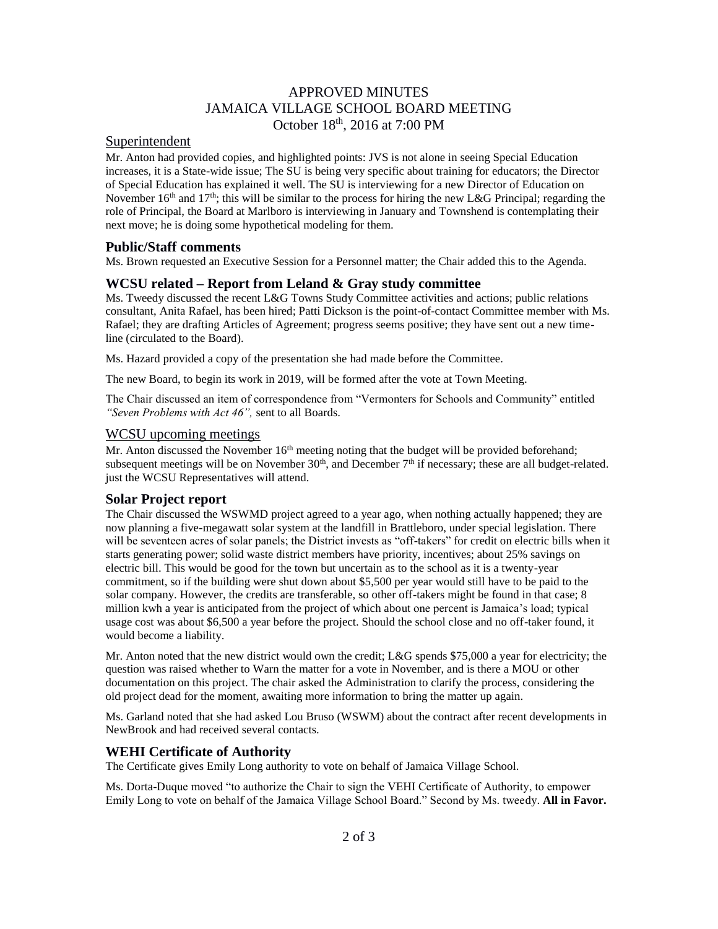# APPROVED MINUTES JAMAICA VILLAGE SCHOOL BOARD MEETING October 18th, 2016 at 7:00 PM

# Superintendent

Mr. Anton had provided copies, and highlighted points: JVS is not alone in seeing Special Education increases, it is a State-wide issue; The SU is being very specific about training for educators; the Director of Special Education has explained it well. The SU is interviewing for a new Director of Education on November 16<sup>th</sup> and 17<sup>th</sup>; this will be similar to the process for hiring the new L&G Principal; regarding the role of Principal, the Board at Marlboro is interviewing in January and Townshend is contemplating their next move; he is doing some hypothetical modeling for them.

### **Public/Staff comments**

Ms. Brown requested an Executive Session for a Personnel matter; the Chair added this to the Agenda.

### **WCSU related – Report from Leland & Gray study committee**

Ms. Tweedy discussed the recent L&G Towns Study Committee activities and actions; public relations consultant, Anita Rafael, has been hired; Patti Dickson is the point-of-contact Committee member with Ms. Rafael; they are drafting Articles of Agreement; progress seems positive; they have sent out a new timeline (circulated to the Board).

Ms. Hazard provided a copy of the presentation she had made before the Committee.

The new Board, to begin its work in 2019, will be formed after the vote at Town Meeting.

The Chair discussed an item of correspondence from "Vermonters for Schools and Community" entitled *"Seven Problems with Act 46",* sent to all Boards.

#### WCSU upcoming meetings

Mr. Anton discussed the November 16<sup>th</sup> meeting noting that the budget will be provided beforehand; subsequent meetings will be on November  $30<sup>th</sup>$ , and December  $7<sup>th</sup>$  if necessary; these are all budget-related. just the WCSU Representatives will attend.

### **Solar Project report**

The Chair discussed the WSWMD project agreed to a year ago, when nothing actually happened; they are now planning a five-megawatt solar system at the landfill in Brattleboro, under special legislation. There will be seventeen acres of solar panels; the District invests as "off-takers" for credit on electric bills when it starts generating power; solid waste district members have priority, incentives; about 25% savings on electric bill. This would be good for the town but uncertain as to the school as it is a twenty-year commitment, so if the building were shut down about \$5,500 per year would still have to be paid to the solar company. However, the credits are transferable, so other off-takers might be found in that case; 8 million kwh a year is anticipated from the project of which about one percent is Jamaica's load; typical usage cost was about \$6,500 a year before the project. Should the school close and no off-taker found, it would become a liability.

Mr. Anton noted that the new district would own the credit; L&G spends \$75,000 a year for electricity; the question was raised whether to Warn the matter for a vote in November, and is there a MOU or other documentation on this project. The chair asked the Administration to clarify the process, considering the old project dead for the moment, awaiting more information to bring the matter up again.

Ms. Garland noted that she had asked Lou Bruso (WSWM) about the contract after recent developments in NewBrook and had received several contacts.

# **WEHI Certificate of Authority**

The Certificate gives Emily Long authority to vote on behalf of Jamaica Village School.

Ms. Dorta-Duque moved "to authorize the Chair to sign the VEHI Certificate of Authority, to empower Emily Long to vote on behalf of the Jamaica Village School Board." Second by Ms. tweedy. **All in Favor.**